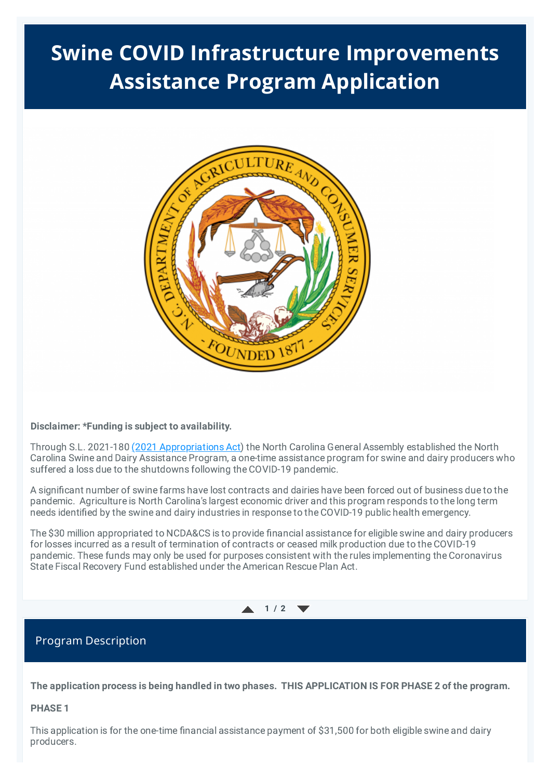# **Swine COVID Infrastructure Improvements Assistance Program Application**



### **Disclaimer: \*Funding is subject to availability.**

Through S.L. 2021-180 (2021 [Appropriations](https://www.ncleg.gov/Sessions/2021/Bills/Senate/PDF/S105v8.pdf) Act) the North Carolina General Assembly established the North Carolina Swine and Dairy Assistance Program, a one-time assistance program for swine and dairy producers who suffered a loss due to the shutdowns following the COVID-19 pandemic.

A significant number of swine farms have lost contracts and dairies have been forced out of business due to the pandemic. Agriculture is North Carolina's largest economic driver and this program responds to the long term needs identified by the swine and dairy industries in response to the COVID-19 public health emergency.

The \$30 million appropriated to NCDA&CS is to provide financial assistance for eligible swine and dairy producers for losses incurred as a result of termination of contracts or ceased milk production due to the COVID-19 pandemic. These funds may only be used for purposes consistent with the rules implementing the Coronavirus State Fiscal Recovery Fund established under the American Rescue Plan Act.



### Program Description

The application process is being handled in two phases. THIS APPLICATION IS FOR PHASE 2 of the program.

### **PHASE 1**

This application is for the one-time financial assistance payment of \$31,500 for both eligible swine and dairy producers.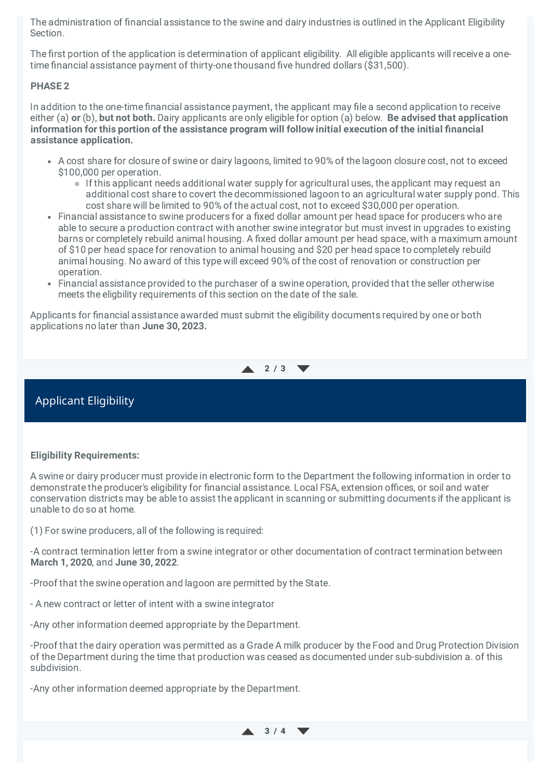The administration of financial assistance to the swine and dairy industries is outlined in the Applicant Eligibility Section.

The first portion of the application is determination of applicant eligibility. All eligible applicants will receive a onetime financial assistance payment of thirty-one thousand five hundred dollars (\$31,500).

### **PHASE 2**

In addition to the one-time financial assistance payment, the applicant may file a second application to receive either (a) **or** (b), **but not both.** Dairy applicants are only eligible for option (a) below. **Be advised that application information for this portion of the assistance program will follow initial execution of the initial financial assistance application.**

- A cost share for closure of swine or dairy lagoons, limited to 90% of the lagoon closure cost, not to exceed \$100,000 per operation.
	- If this applicant needs additional water supply for agricultural uses, the applicant may request an additional cost share to covert the decommissioned lagoon to an agricultural water supply pond. This cost share will be limited to 90% of the actual cost, not to exceed \$30,000 per operation.
- Financial assistance to swine producers for a fixed dollar amount per head space for producers who are able to secure a production contract with another swine integrator but must invest in upgrades to existing barns or completely rebuild animal housing. A fixed dollar amount per head space, with a maximum amount of \$10 per head space for renovation to animal housing and \$20 per head space to completely rebuild animal housing. No award of this type will exceed 90% of the cost of renovation or construction per operation.
- Financial assistance provided to the purchaser of a swine operation, provided that the seller otherwise meets the eligbility requirements of this section on the date of the sale.

Applicants for financial assistance awarded must submit the eligibility documents required by one or both applications no later than **June 30, 2023.**

**2 / 3**

## Applicant Eligibility

### **Eligibility Requirements:**

A swine or dairy producer must provide in electronic form to the Department the following information in order to demonstrate the producer's eligibility for financial assistance. Local FSA, extension offices, or soil and water conservation districts may be able to assist the applicant in scanning or submitting documents if the applicant is unable to do so at home.

(1) For swine producers, all of the following is required:

-A contract termination letter from a swine integrator or other documentation of contract termination between **March 1, 2020**, and **June 30, 2022**.

-Proof that the swine operation and lagoon are permitted by the State.

- A new contract or letter of intent with a swine integrator

-Any other information deemed appropriate by the Department.

-Proof that the dairy operation was permitted as a Grade A milk producer by the Food and Drug Protection Division of the Department during the time that production was ceased as documented under sub-subdivision a. of this subdivision.

-Any other information deemed appropriate by the Department.

**3 / 4**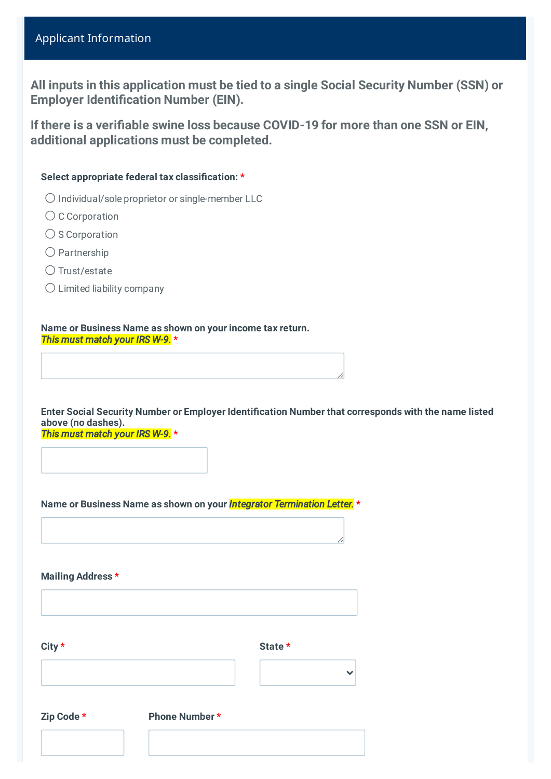# Applicant Information

**All inputs in this application must be tied to a single Social Security Number (SSN) or Employer Identification Number (EIN).**

**If there is a verifiable swine loss because COVID-19 for more than one SSN or EIN, additional applications must be completed.**

### **Select appropriate federal tax classification: \***

- ⚪ Individual/sole proprietor or single-member LLC
- C Corporation
- $\bigcirc$  S Corporation
- ⚪ Partnership
- Trust/estate
- ⚪ Limited liability company

**Name or Business Name as shown on your income tax return.** *This must match your IRS W-9.* **\***

**Enter Social Security Number or Employer Identification Number that corresponds with the name listed above (no dashes).** *This must match your IRS W-9.* **\***

**Name or Business Name as shown on your** *Integrator Termination Letter.* **\***

**Mailing Address \***

| City *     |                      | State * |
|------------|----------------------|---------|
|            |                      |         |
| Zip Code * | <b>Phone Number*</b> |         |
|            |                      |         |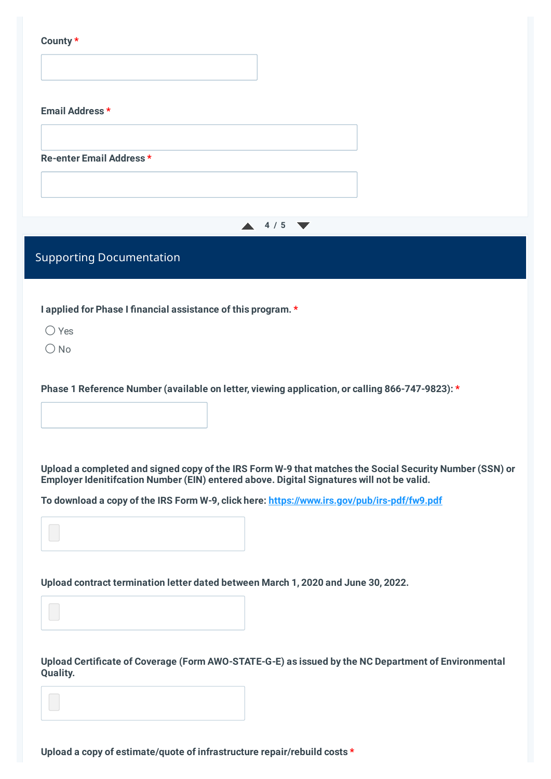|--|--|

| Email Address*                  |                 |  |
|---------------------------------|-----------------|--|
|                                 |                 |  |
| Re-enter Email Address*         |                 |  |
|                                 |                 |  |
|                                 | $\triangle$ 4/5 |  |
| <b>Supporting Documentation</b> |                 |  |

**I applied for Phase I financial assistance of this program. \***

 $\bigcap$  Yes

 $\bigcap$  No

**Phase 1 Reference Number (available on letter, viewing application, or calling 866-747-9823): \***

Upload a completed and signed copy of the IRS Form W-9 that matches the Social Security Number (SSN) or **Employer Idenitifcation Number (EIN) entered above. Digital Signatures will not be valid.**

**To download a copy of the IRS Form W-9, click here: <https://www.irs.gov/pub/irs-pdf/fw9.pdf>**

**Upload contract termination letter dated between March 1, 2020 and June 30, 2022.**

**Upload Certificate of Coverage (Form AWO-STATE-G-E) as issued by the NC Department of Environmental Quality.**

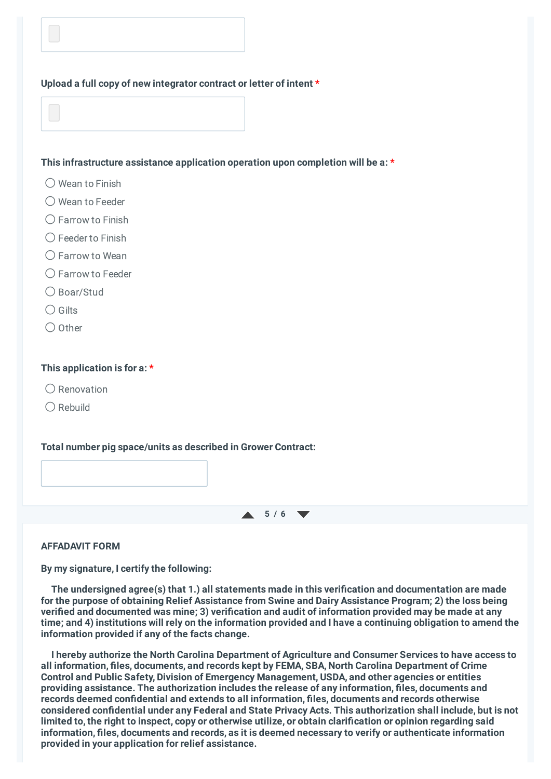### **Upload a full copy of new integrator contract or letter of intent \***

### **This infrastructure assistance application operation upon completion will be a: \***

- $\bigcirc$  Wean to Finish
- ◯ Wean to Feeder
- ◯ Farrow to Finish
- $\bigcirc$  Feeder to Finish
- $\bigcap$  Farrow to Wean
- ◯ Farrow to Feeder
- ⚪ Boar/Stud
- $\bigcap$  Gilts
- $\bigcap$  Other

### **This application is for a: \***

- $\bigcap$  Renovation
- $\bigcap$  Rebuild

### **Total number pig space/units as described in Grower Contract:**

 $\uparrow$  5/6

### **AFFADAVIT FORM**

**By my signature, I certify the following:**

**The undersigned agree(s) that 1.) all statements made in this verification and documentation are made for the purpose of obtaining Relief Assistance from Swine and Dairy Assistance Program; 2) the loss being verified and documented was mine; 3) verification and audit of information provided may be made at any** time; and 4) institutions will rely on the information provided and I have a continuing obligation to amend the **information provided if any of the facts change.**

**I hereby authorize the North Carolina Department of Agriculture and Consumer Services to have access to all information, files, documents, and records kept by FEMA, SBA, North Carolina Department of Crime Control and Public Safety, Division of Emergency Management, USDA, and other agencies or entities providing assistance. The authorization includes the release of any information, files, documents and records deemed confidential and extends to all information, files, documents and records otherwise considered confidential under any Federal and State Privacy Acts. This authorization shall include, but is not** limited to, the right to inspect, copy or otherwise utilize, or obtain clarification or opinion regarding said **information, files, documents and records, as it is deemed necessary to verify or authenticate information provided in your application for relief assistance.**